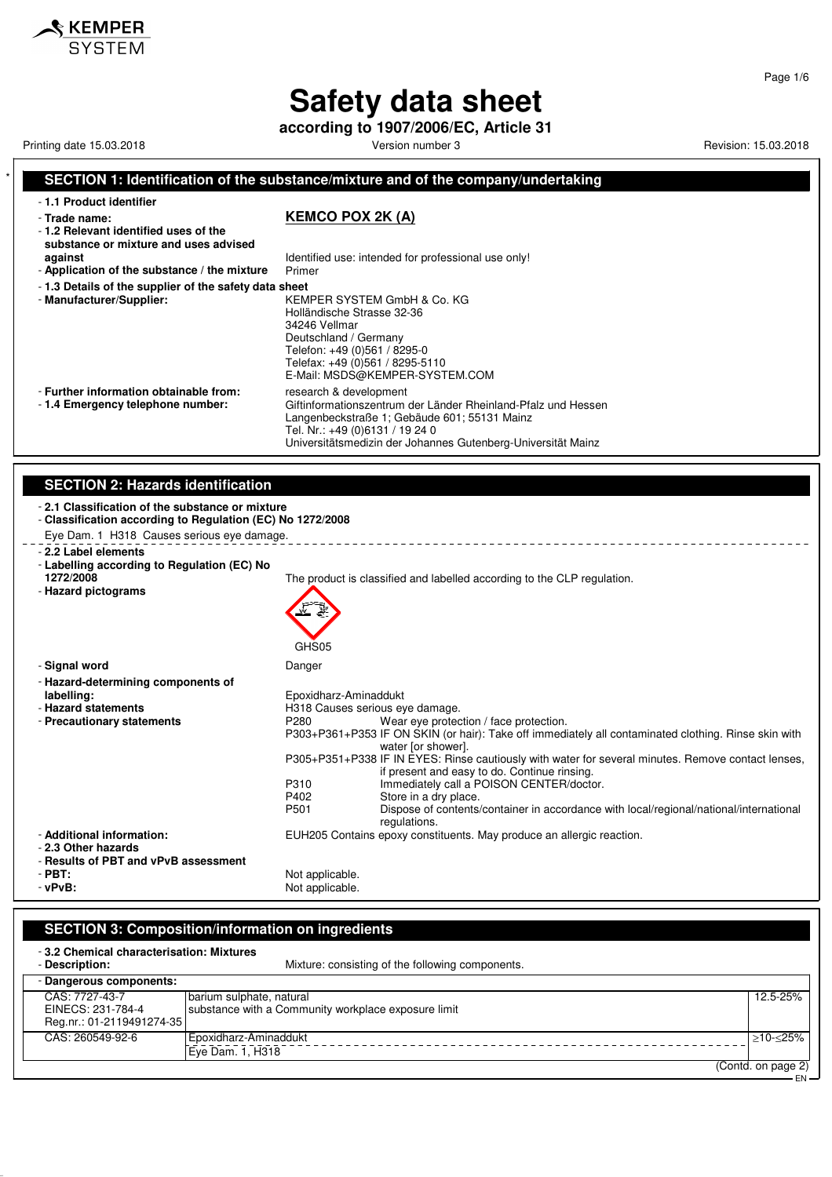# **Safety data sheet**

**according to 1907/2006/EC, Article 31**

Printing date 15.03.2018 **Principal and Contract Contract Contract Contract Contract Contract Contract Contract Contract Contract Contract Contract Contract Contract Contract Contract Contract Contract Contract Contract Co** 

### **SECTION 1: Identification of the substance/mixture and of the company/undertaking** - **1.1 Product identifier** - **Trade name: KEMCO POX 2K (A)** - **1.2 Relevant identified uses of the substance or mixture and uses advised against against Identified use: intended for professional use only!**<br>**Application of the substance / the mixture** Primer - Application of the substance / the mixture - **1.3 Details of the supplier of the safety data sheet** - **Manufacturer/Supplier:** KEMPER SYSTEM GmbH & Co. KG Holländische Strasse 32-36 34246 Vellmar Deutschland / Germany Telefon: +49 (0)561 / 8295-0 Telefax: +49 (0)561 / 8295-5110 E-Mail: MSDS@KEMPER-SYSTEM.COM - **Further information obtainable from:** research & development<br>- 1.4 **Emergency telephone number:** Giftinformationszentrum Giftinformationszentrum der Länder Rheinland-Pfalz und Hessen Langenbeckstraße 1; Gebäude 601; 55131 Mainz Tel. Nr.: +49 (0)6131 / 19 24 0 Universitätsmedizin der Johannes Gutenberg-Universität Mainz **SECTION 2: Hazards identification** - **2.1 Classification of the substance or mixture** - **Classification according to Regulation (EC) No 1272/2008** Eye Dam. 1 H318 Causes serious eye damage. - **2.2 Label elements** - **Labelling according to Regulation (EC) No** The product is classified and labelled according to the CLP regulation. - **Hazard pictograms** GHS<sub>05</sub> - **Signal word** Danger - **Hazard-determining components of labelling:** Epoxidharz-Aminaddukt - **Hazard statements**<br> **- Precautionary statements**<br>
P280 Wear eye protec Wear eye protection / face protection. P303+P361+P353 IF ON SKIN (or hair): Take off immediately all contaminated clothing. Rinse skin with water [or shower]. P305+P351+P338 IF IN EYES: Rinse cautiously with water for several minutes. Remove contact lenses, if present and easy to do. Continue rinsing. P310 Immediately call a POISON CENTER/doctor.<br>P402 Store in a dry place. P402 Store in a dry place.<br>P501 Dispose of contents P501 Dispose of contents/container in accordance with local/regional/national/international regulations. - **Additional information:** EUH205 Contains epoxy constituents. May produce an allergic reaction. - **2.3 Other hazards** - **Results of PBT and vPvB assessment** - **PBT:**<br>- vPvB: Not applicable.<br>Not applicable. Not applicable.

### **SECTION 3: Composition/information on ingredients**

- **3.2 Chemical characterisation: Mixtures** Mixture: consisting of the following components. - **Dangerous components:** CAS: 7727-43-7 EINECS: 231-784-4 Reg.nr.: 01-2119491274-35 barium sulphate, natural substance with a Community workplace exposure limit 12.5-25% CAS: 260549-92-6 Epoxidharz-Aminaddukt Eye Dam. 1, H318 ≥10-≤25% (Contd. on page 2)

EN

 $\boldsymbol{\mathsf{\$} }$  KEMPER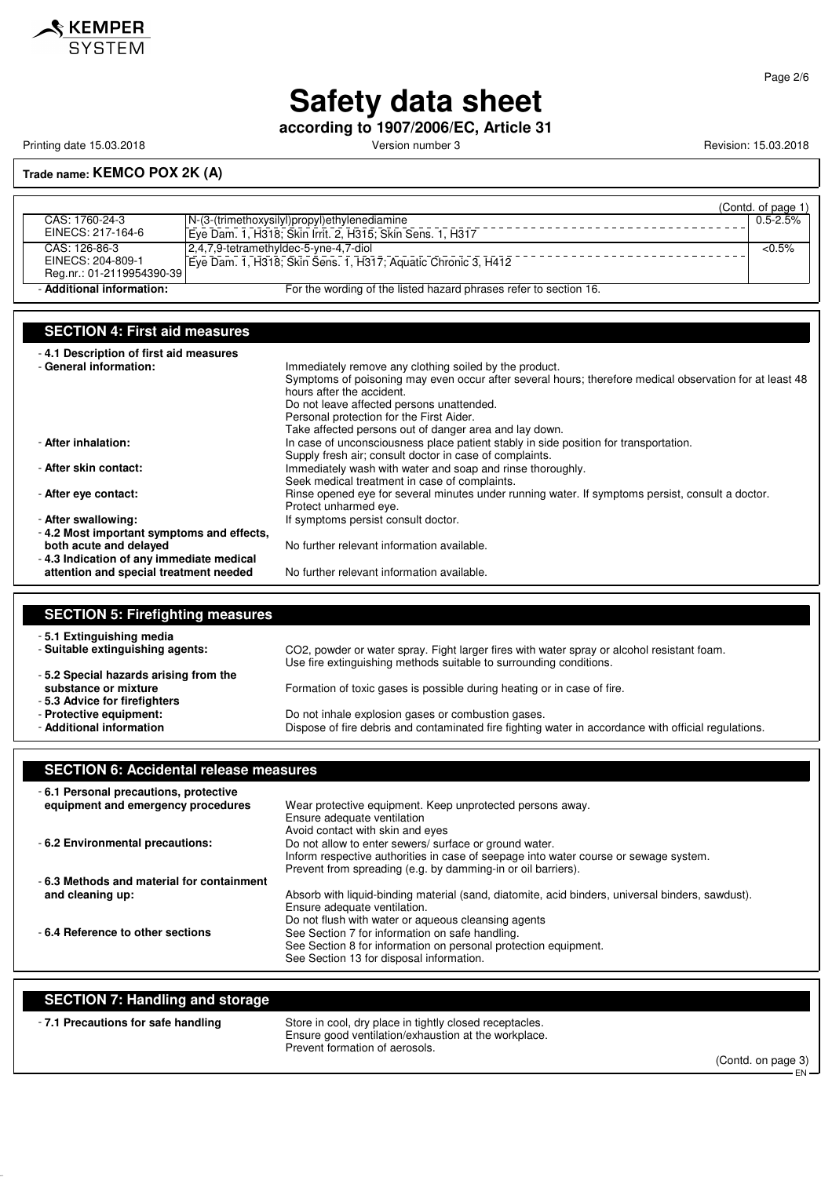

**Safety data sheet**

**according to 1907/2006/EC, Article 31**

Printing date 15.03.2018 **Printing date 15.03.2018** Version number 3 Revision: 15.03.2018

#### **Trade name: KEMCO POX 2K (A)**

|                           |                                                                   | (Contd. of page 1) |
|---------------------------|-------------------------------------------------------------------|--------------------|
| CAS: 1760-24-3            | N-(3-(trimethoxysilyl)propyl)ethylenediamine                      | $0.5 - 2.5%$       |
| EINECS: 217-164-6         | Eye Dam. 1, H318; Skin Irrit. 2, H315; Skin Sens. 1, H317         |                    |
| CAS: 126-86-3             | 2,4,7,9-tetramethyldec-5-yne-4,7-diol                             | $<0.5\%$           |
| EINECS: 204-809-1         | Eve Dam. 1, H318; Skin Sens. 1, H317; Aquatic Chronic 3, H412     |                    |
| Reg.nr.: 01-2119954390-39 |                                                                   |                    |
| - Additional information: | For the wording of the listed hazard phrases refer to section 16. |                    |

### **SECTION 4: First aid measures**

| -4.1 Description of first aid measures    |                                                                                                         |
|-------------------------------------------|---------------------------------------------------------------------------------------------------------|
| - General information:                    | Immediately remove any clothing soiled by the product.                                                  |
|                                           | Symptoms of poisoning may even occur after several hours; therefore medical observation for at least 48 |
|                                           | hours after the accident.                                                                               |
|                                           | Do not leave affected persons unattended.                                                               |
|                                           | Personal protection for the First Aider.                                                                |
|                                           | Take affected persons out of danger area and lay down.                                                  |
| - After inhalation:                       | In case of unconsciousness place patient stably in side position for transportation.                    |
|                                           | Supply fresh air; consult doctor in case of complaints.                                                 |
| - After skin contact:                     | Immediately wash with water and soap and rinse thoroughly.                                              |
|                                           | Seek medical treatment in case of complaints.                                                           |
| - After eve contact:                      | Rinse opened eye for several minutes under running water. If symptoms persist, consult a doctor.        |
|                                           | Protect unharmed eye.                                                                                   |
| - After swallowing:                       | If symptoms persist consult doctor.                                                                     |
| -4.2 Most important symptoms and effects, |                                                                                                         |
| both acute and delayed                    | No further relevant information available.                                                              |
| -4.3 Indication of any immediate medical  |                                                                                                         |
| attention and special treatment needed    | No further relevant information available.                                                              |

#### **SECTION 5: Firefighting measures** - **5.1 Extinguishing media** - **Suitable extinguishing agents:** CO2, powder or water spray. Fight larger fires with water spray or alcohol resistant foam. Use fire extinguishing methods suitable to surrounding conditions. - **5.2 Special hazards arising from the substance or mixture Formation of toxic gases is possible during heating or in case of fire.** - **5.3 Advice for firefighters** - **Protective equipment:** Do not inhale explosion gases or combustion gases. Dispose of fire debris and contaminated fire fighting water in accordance with official regulations.

#### **SECTION 6: Accidental release measures** - **6.1 Personal precautions, protective** Wear protective equipment. Keep unprotected persons away. Ensure adequate ventilation Avoid contact with skin and eyes - **6.2 Environmental precautions:** Do not allow to enter sewers/ surface or ground water. Inform respective authorities in case of seepage into water course or sewage system. Prevent from spreading (e.g. by damming-in or oil barriers). - **6.3 Methods and material for containment** Absorb with liquid-binding material (sand, diatomite, acid binders, universal binders, sawdust). Ensure adequate ventilation. Do not flush with water or aqueous cleansing agents - **6.4 Reference to other sections** See Section 7 for information on safe handling. See Section 8 for information on personal protection equipment. See Section 13 for disposal information.

| <b>SECTION 7: Handling and storage</b> |                                                                                                                                                   |                    |
|----------------------------------------|---------------------------------------------------------------------------------------------------------------------------------------------------|--------------------|
| -7.1 Precautions for safe handling     | Store in cool, dry place in tightly closed receptacles.<br>Ensure good ventilation/exhaustion at the workplace.<br>Prevent formation of aerosols. | (Contd. on page 3) |

Page 2/6

EN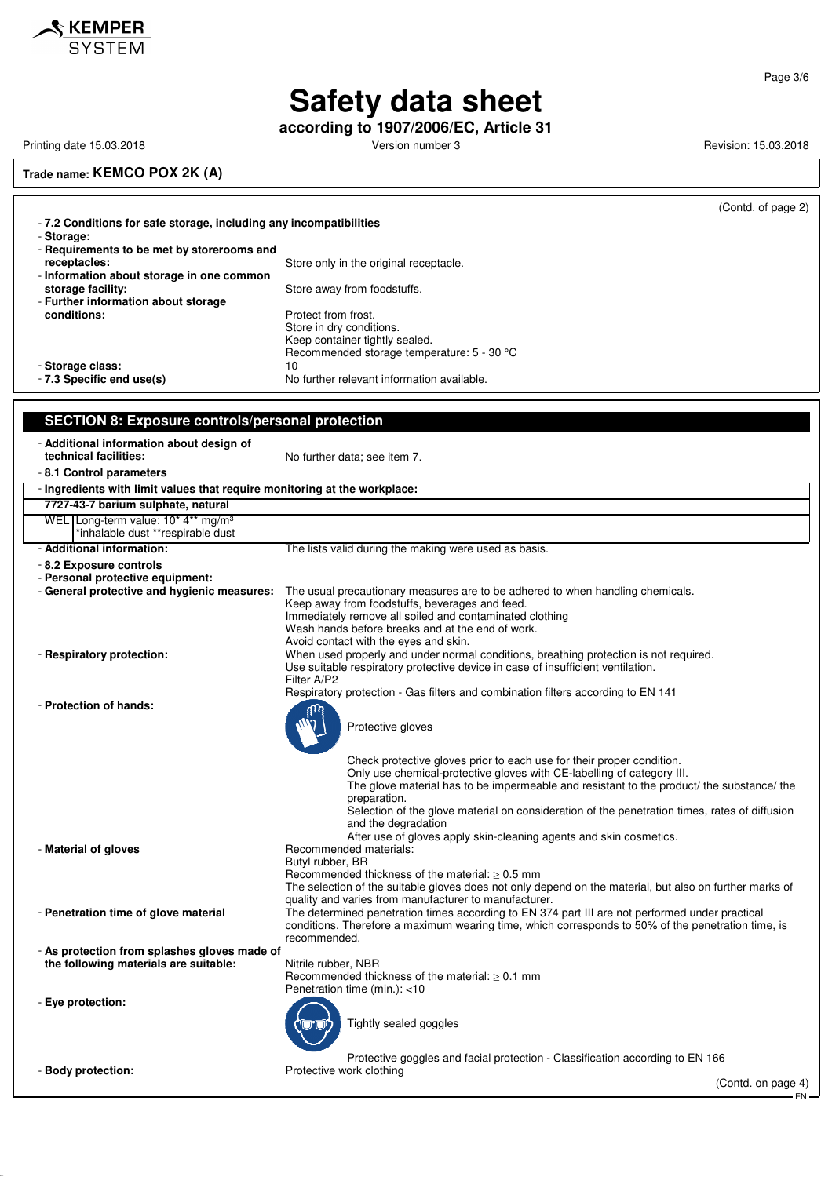

**according to 1907/2006/EC, Article 31**

Printing date 15.03.2018 **Printing date 15.03.2018** Version number 3 Revision: 15.03.2018

KEMPER **SYSTEM** 

**Trade name: KEMCO POX 2K (A)**

|                                                                           | (Contd. of page 2)                                                                                                                                       |
|---------------------------------------------------------------------------|----------------------------------------------------------------------------------------------------------------------------------------------------------|
| -7.2 Conditions for safe storage, including any incompatibilities         |                                                                                                                                                          |
| - Storage:                                                                |                                                                                                                                                          |
| - Requirements to be met by storerooms and<br>receptacles:                | Store only in the original receptacle.                                                                                                                   |
| - Information about storage in one common                                 |                                                                                                                                                          |
| storage facility:                                                         | Store away from foodstuffs.                                                                                                                              |
| - Further information about storage                                       |                                                                                                                                                          |
| conditions:                                                               | Protect from frost.<br>Store in dry conditions.                                                                                                          |
|                                                                           | Keep container tightly sealed.                                                                                                                           |
|                                                                           | Recommended storage temperature: 5 - 30 °C                                                                                                               |
| - Storage class:                                                          | 10                                                                                                                                                       |
| - 7.3 Specific end use(s)                                                 | No further relevant information available.                                                                                                               |
|                                                                           |                                                                                                                                                          |
| <b>SECTION 8: Exposure controls/personal protection</b>                   |                                                                                                                                                          |
| - Additional information about design of                                  |                                                                                                                                                          |
| technical facilities:                                                     | No further data; see item 7.                                                                                                                             |
| - 8.1 Control parameters                                                  |                                                                                                                                                          |
| - Ingredients with limit values that require monitoring at the workplace: |                                                                                                                                                          |
| 7727-43-7 barium sulphate, natural                                        |                                                                                                                                                          |
| WEL Long-term value: 10* 4** mg/m <sup>3</sup>                            |                                                                                                                                                          |
| *inhalable dust **respirable dust                                         |                                                                                                                                                          |
| - Additional information:                                                 | The lists valid during the making were used as basis.                                                                                                    |
| - 8.2 Exposure controls<br>- Personal protective equipment:               |                                                                                                                                                          |
| - General protective and hygienic measures:                               | The usual precautionary measures are to be adhered to when handling chemicals.                                                                           |
|                                                                           | Keep away from foodstuffs, beverages and feed.                                                                                                           |
|                                                                           | Immediately remove all soiled and contaminated clothing                                                                                                  |
|                                                                           | Wash hands before breaks and at the end of work.<br>Avoid contact with the eyes and skin.                                                                |
| - Respiratory protection:                                                 | When used properly and under normal conditions, breathing protection is not required.                                                                    |
|                                                                           | Use suitable respiratory protective device in case of insufficient ventilation.                                                                          |
|                                                                           | Filter A/P2                                                                                                                                              |
| - Protection of hands:                                                    | Respiratory protection - Gas filters and combination filters according to EN 141                                                                         |
|                                                                           |                                                                                                                                                          |
|                                                                           | Protective gloves                                                                                                                                        |
|                                                                           |                                                                                                                                                          |
|                                                                           | Check protective gloves prior to each use for their proper condition.                                                                                    |
|                                                                           | Only use chemical-protective gloves with CE-labelling of category III.                                                                                   |
|                                                                           | The glove material has to be impermeable and resistant to the product/ the substance/ the<br>preparation.                                                |
|                                                                           | Selection of the glove material on consideration of the penetration times, rates of diffusion                                                            |
|                                                                           | and the degradation                                                                                                                                      |
| - Material of gloves                                                      | After use of gloves apply skin-cleaning agents and skin cosmetics.<br>Recommended materials:                                                             |
|                                                                           | Butyl rubber, BR                                                                                                                                         |
|                                                                           | Recommended thickness of the material: $\geq 0.5$ mm                                                                                                     |
|                                                                           | The selection of the suitable gloves does not only depend on the material, but also on further marks of                                                  |
| - Penetration time of glove material                                      | quality and varies from manufacturer to manufacturer.<br>The determined penetration times according to EN 374 part III are not performed under practical |
|                                                                           | conditions. Therefore a maximum wearing time, which corresponds to 50% of the penetration time, is                                                       |
|                                                                           | recommended.                                                                                                                                             |
| - As protection from splashes gloves made of                              |                                                                                                                                                          |
| the following materials are suitable:                                     | Nitrile rubber, NBR<br>Recommended thickness of the material: $\geq 0.1$ mm                                                                              |
|                                                                           | Penetration time (min.): <10                                                                                                                             |
| - Eye protection:                                                         |                                                                                                                                                          |
|                                                                           | Tightly sealed goggles                                                                                                                                   |
|                                                                           |                                                                                                                                                          |
|                                                                           |                                                                                                                                                          |
| - Body protection:                                                        | Protective goggles and facial protection - Classification according to EN 166<br>Protective work clothing                                                |

(Contd. on page 4)  $-EN-$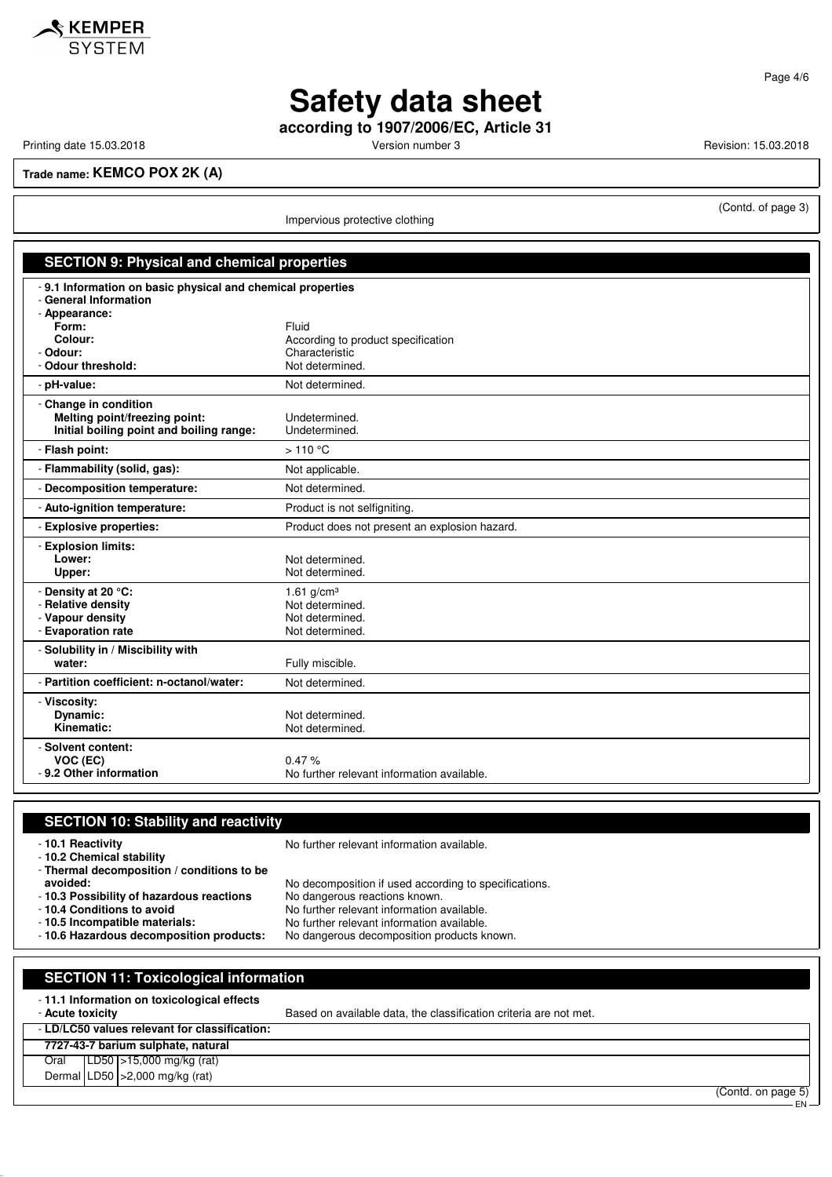

**Safety data sheet**

**according to 1907/2006/EC, Article 31**

Printing date 15.03.2018 **Printing date 15.03.2018** Version number 3 Revision: 15.03.2018

(Contd. of page 3)

Page 4/6

**Trade name: KEMCO POX 2K (A)**

Impervious protective clothing

| <b>SECTION 9: Physical and chemical properties</b>                                                    |                                                                                  |  |
|-------------------------------------------------------------------------------------------------------|----------------------------------------------------------------------------------|--|
| - 9.1 Information on basic physical and chemical properties<br>- General Information<br>- Appearance: |                                                                                  |  |
| Form:<br>Colour:<br>- Odour:<br>- Odour threshold:                                                    | Fluid<br>According to product specification<br>Characteristic<br>Not determined. |  |
| - pH-value:                                                                                           | Not determined.                                                                  |  |
| - Change in condition<br>Melting point/freezing point:<br>Initial boiling point and boiling range:    | Undetermined.<br>Undetermined.                                                   |  |
| - Flash point:                                                                                        | $>110^{\circ}$ C                                                                 |  |
| - Flammability (solid, gas):                                                                          | Not applicable.                                                                  |  |
| - Decomposition temperature:                                                                          | Not determined.                                                                  |  |
| - Auto-ignition temperature:                                                                          | Product is not selfigniting.                                                     |  |
| - Explosive properties:                                                                               | Product does not present an explosion hazard.                                    |  |
| - Explosion limits:<br>Lower:<br>Upper:                                                               | Not determined.<br>Not determined.                                               |  |
| - Density at 20 °C:<br>- Relative density<br>- Vapour density<br>- Evaporation rate                   | 1.61 $g/cm^{3}$<br>Not determined.<br>Not determined.<br>Not determined.         |  |
| - Solubility in / Miscibility with<br>water:                                                          | Fully miscible.                                                                  |  |
| - Partition coefficient: n-octanol/water:                                                             | Not determined.                                                                  |  |
| - Viscosity:<br>Dynamic:<br>Kinematic:                                                                | Not determined.<br>Not determined.                                               |  |
| - Solvent content:<br>VOC (EC)<br>- 9.2 Other information                                             | 0.47%<br>No further relevant information available.                              |  |

| <b>SECTION 10: Stability and reactivity</b>                                                             |                                                                                                                                        |                             |
|---------------------------------------------------------------------------------------------------------|----------------------------------------------------------------------------------------------------------------------------------------|-----------------------------|
| -10.1 Reactivity<br>- 10.2 Chemical stability                                                           | No further relevant information available.                                                                                             |                             |
| - Thermal decomposition / conditions to be<br>avoided:<br>-10.3 Possibility of hazardous reactions      | No decomposition if used according to specifications.<br>No dangerous reactions known.                                                 |                             |
| - 10.4 Conditions to avoid<br>-10.5 Incompatible materials:<br>- 10.6 Hazardous decomposition products: | No further relevant information available.<br>No further relevant information available.<br>No dangerous decomposition products known. |                             |
|                                                                                                         |                                                                                                                                        |                             |
| <b>SECTION 11: Toxicological information</b>                                                            |                                                                                                                                        |                             |
| -11.1 Information on toxicological effects<br>- Acute toxicity                                          | Based on available data, the classification criteria are not met.                                                                      |                             |
| - LD/LC50 values relevant for classification:                                                           |                                                                                                                                        |                             |
| 7727-43-7 barium sulphate, natural                                                                      |                                                                                                                                        |                             |
| LD50   > 15,000 mg/kg (rat)<br>Oral                                                                     |                                                                                                                                        |                             |
| Dermal   LD50   > 2,000 mg/kg (rat)                                                                     |                                                                                                                                        |                             |
|                                                                                                         |                                                                                                                                        | (Contd. on page 5)<br>$EN-$ |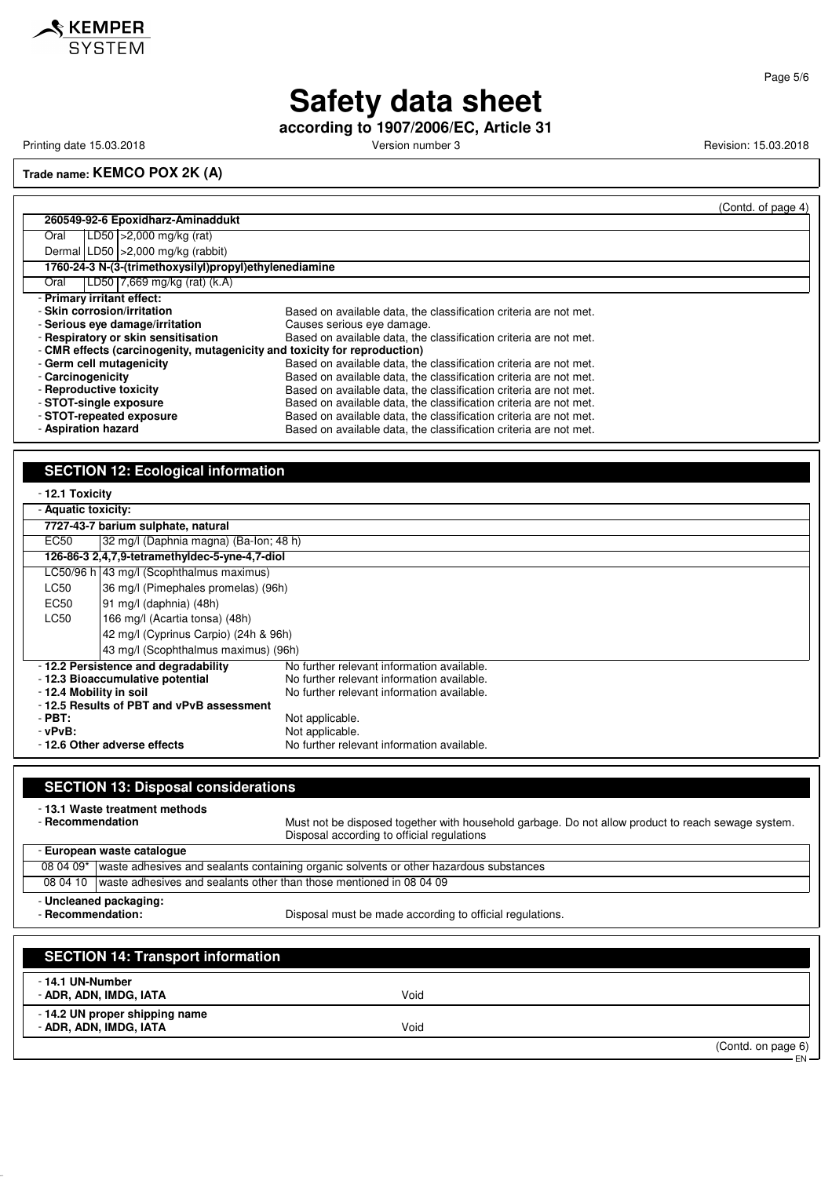

### Page 5/6

# **Safety data sheet**

**according to 1907/2006/EC, Article 31**

Printing date 15.03.2018 **Printing date 15.03.2018** Version number 3 Revision: 15.03.2018

**Trade name: KEMCO POX 2K (A)**

|                                                                           | (Contd. of page 4)                                                |  |
|---------------------------------------------------------------------------|-------------------------------------------------------------------|--|
| 260549-92-6 Epoxidharz-Aminaddukt                                         |                                                                   |  |
| $LD50$ >2,000 mg/kg (rat)<br>Oral                                         |                                                                   |  |
| Dermal LD50   > 2,000 mg/kg (rabbit)                                      |                                                                   |  |
| 1760-24-3 N-(3-(trimethoxysilyl)propyl)ethylenediamine                    |                                                                   |  |
| LD50 $\sqrt{7,669}$ mg/kg (rat) (k.A)<br>Oral                             |                                                                   |  |
| - Primary irritant effect:                                                |                                                                   |  |
| - Skin corrosion/irritation                                               | Based on available data, the classification criteria are not met. |  |
| - Serious eve damage/irritation                                           | Causes serious eye damage.                                        |  |
| - Respiratory or skin sensitisation                                       | Based on available data, the classification criteria are not met. |  |
| - CMR effects (carcinogenity, mutagenicity and toxicity for reproduction) |                                                                   |  |
| - Germ cell mutagenicity                                                  | Based on available data, the classification criteria are not met. |  |
| - Carcinogenicity                                                         | Based on available data, the classification criteria are not met. |  |
| - Reproductive toxicity                                                   | Based on available data, the classification criteria are not met. |  |
| - STOT-single exposure                                                    | Based on available data, the classification criteria are not met. |  |
| - STOT-repeated exposure                                                  | Based on available data, the classification criteria are not met. |  |
| - Aspiration hazard                                                       | Based on available data, the classification criteria are not met. |  |

## **SECTION 12: Ecological information**

- **ADR, ADN, IMDG, IATA** Void

| - 12.1 Toxicity                                                                   |                                                |                                            |  |
|-----------------------------------------------------------------------------------|------------------------------------------------|--------------------------------------------|--|
|                                                                                   | - Aquatic toxicity:                            |                                            |  |
|                                                                                   | 7727-43-7 barium sulphate, natural             |                                            |  |
| EC50                                                                              | 32 mg/l (Daphnia magna) (Ba-lon; 48 h)         |                                            |  |
|                                                                                   | 126-86-3 2,4,7,9-tetramethyldec-5-yne-4,7-diol |                                            |  |
|                                                                                   | LC50/96 h 43 mg/l (Scophthalmus maximus)       |                                            |  |
| LC50                                                                              | 36 mg/l (Pimephales promelas) (96h)            |                                            |  |
| EC50                                                                              | 91 mg/l (daphnia) (48h)                        |                                            |  |
| LC50                                                                              | 166 mg/l (Acartia tonsa) (48h)                 |                                            |  |
|                                                                                   | 42 mg/l (Cyprinus Carpio) (24h & 96h)          |                                            |  |
|                                                                                   | 43 mg/l (Scophthalmus maximus) (96h)           |                                            |  |
| -12.2 Persistence and degradability<br>No further relevant information available. |                                                |                                            |  |
|                                                                                   | - 12.3 Bioaccumulative potential               | No further relevant information available. |  |
| - 12.4 Mobility in soil                                                           |                                                | No further relevant information available. |  |
| -12.5 Results of PBT and vPvB assessment                                          |                                                |                                            |  |
| $-$ PBT:                                                                          |                                                | Not applicable.                            |  |
| - vPvB:                                                                           |                                                | Not applicable.                            |  |
| No further relevant information available.<br>-12.6 Other adverse effects         |                                                |                                            |  |

| <b>SECTION 13: Disposal considerations</b>                                                              |                                                                                                                                                  |  |
|---------------------------------------------------------------------------------------------------------|--------------------------------------------------------------------------------------------------------------------------------------------------|--|
| - 13.1 Waste treatment methods<br>- Recommendation                                                      | Must not be disposed together with household garbage. Do not allow product to reach sewage system.<br>Disposal according to official regulations |  |
| - European waste catalogue                                                                              |                                                                                                                                                  |  |
| 08 04 09*                                                                                               | waste adhesives and sealants containing organic solvents or other hazardous substances                                                           |  |
| waste adhesives and sealants other than those mentioned in 08 04 09<br>08 04 10                         |                                                                                                                                                  |  |
| - Uncleaned packaging:<br>- Recommendation:<br>Disposal must be made according to official regulations. |                                                                                                                                                  |  |
| <b>SECTION 14: Transport information</b>                                                                |                                                                                                                                                  |  |
| - 14.1 UN-Number<br>- ADR, ADN, IMDG, IATA                                                              | Void                                                                                                                                             |  |
| -14.2 UN proper shipping name                                                                           |                                                                                                                                                  |  |

EN

<sup>(</sup>Contd. on page 6)